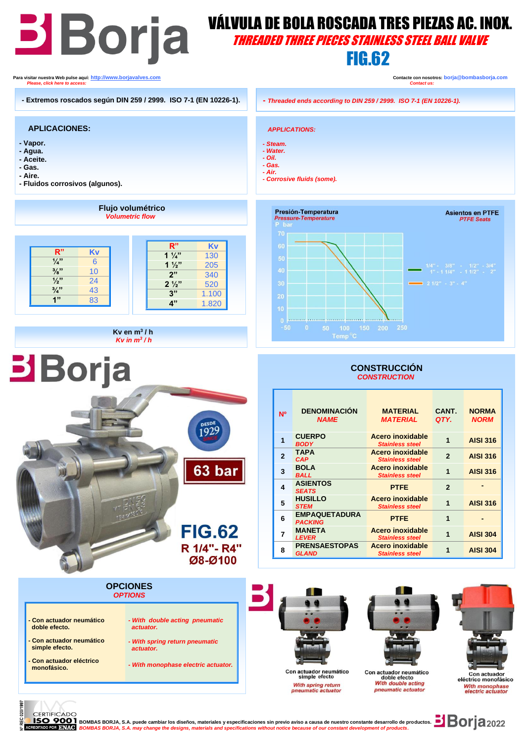# **BIBOLA VÁLVULA DE BOLA ROSCADA TRES PIEZAS AC. INOX.**<br>THREADED THREE PIECES STAINLESS STEEL BALL VALVE THREADED THREE PIECES STAINLESS STEEL BALL VALVE FIG.62  **Para visitar nuestra Web pulse aquí: [http://www.borjavalves.com](http://www.borjavalves.com/) Contacte con nosotros: borja@bombasborja.com**  *Please, click here to access: Contact us:*  **- Extremos roscados según DIN 259 / 2999. ISO 7-1 (EN 10226-1). -** *Threaded ends according to DIN 259 / 2999. ISO 7-1 (EN 10226-1).*

## **APLICACIONES:**

- **- Vapor.**
- **- Agua.**
- **- Aceite.**
- **- Gas.**
- **- Aire.**
- **- Fluidos corrosivos (algunos).**

i ֖֖֖֖֖֖֖֖֖֚֚֚֚֚֚֚֚֚֚֚֚֚֚֚֚֚֚֬֡֡֓֡֞֡֡֬֓֡֬֓֡֬֓֡֬֓֓֡֬֓֓֡֬֓֓֡֬֓֞֬֞֓֞֬֓֞֓֞֬֓֞֡֡֬֓֞֬֓֞֬֝֓֞

**Borja** 



**Flujo volumétrico**





- *- Steam. - Water. - Oil.*
- *- Gas. - Air.*

*- Corrosive fluids (some).* 



## **CONSTRUCCIÓN**  *CONSTRUCTION*

| <b>N°</b>      | <b>DENOMINACIÓN</b><br><b>NAME</b>     | <b>MATERIAL</b><br><b>MATERIAL</b>         | CANT.<br>QTY.  | <b>NORMA</b><br><b>NORM</b> |
|----------------|----------------------------------------|--------------------------------------------|----------------|-----------------------------|
|                | <b>CUERPO</b><br><b>BODY</b>           | Acero inoxidable<br><b>Stainless steel</b> | 1              | <b>AISI 316</b>             |
| $\overline{2}$ | <b>TAPA</b><br><b>CAP</b>              | Acero inoxidable<br><b>Stainless steel</b> | $\overline{2}$ | <b>AISI 316</b>             |
| 3              | <b>BOLA</b><br><b>BALL</b>             | Acero inoxidable<br><b>Stainless steel</b> | 1              | <b>AISI 316</b>             |
| 4              | <b>ASIENTOS</b><br><b>SEATS</b>        | <b>PTFE</b>                                | $\overline{2}$ |                             |
| 5              | <b>HUSILLO</b><br><b>STEM</b>          | Acero inoxidable<br><b>Stainless steel</b> | 1              | <b>AISI 316</b>             |
| 6              | <b>EMPAQUETADURA</b><br><b>PACKING</b> | <b>PTFE</b>                                | 1              |                             |
| 7              | <b>MANETA</b><br><b>LEVER</b>          | Acero inoxidable<br><b>Stainless steel</b> | 1              | <b>AISI 304</b>             |
| 8              | <b>PRENSAESTOPAS</b><br><b>GLAND</b>   | Acero inoxidable<br><b>Stainless steel</b> |                | <b>AISI 304</b>             |

## **OPCIONES**  *OPTIONS*

- **- Con actuador neumático doble efecto. - Con actuador neumático simple efecto.** *- With double acting pneumatic actuator. - With spring return pneumatic actuator.*
	- *- With monophase electric actuator.*

1929

63 bar

**FIG.62** R 1/4"- R4" Ø8-Ø100







Con actuador neumático simple efecto With spring return<br>pneumatic actuator

Con actuador neumático<br>doble efecto<br>With double acting pneumatic actuato

eléctrico monofásico With monophase<br>electric actuator



**- Con actuador eléctrico monofásico.**

CERTIFICADO<br>**ISO 9001** BOMBAS BORJA, S.A. puede cambiar los diseños, materiales y especificaciones sin previo aviso a causa de nuestro constante desarrollo de productos. **BOM** 2022<br>REDITADO POR BOMBAS BORJA, S.A. *may chan BOMBAS BORJA, S.A. may change the designs, materials and specifications without notice because of our constant development of products.*